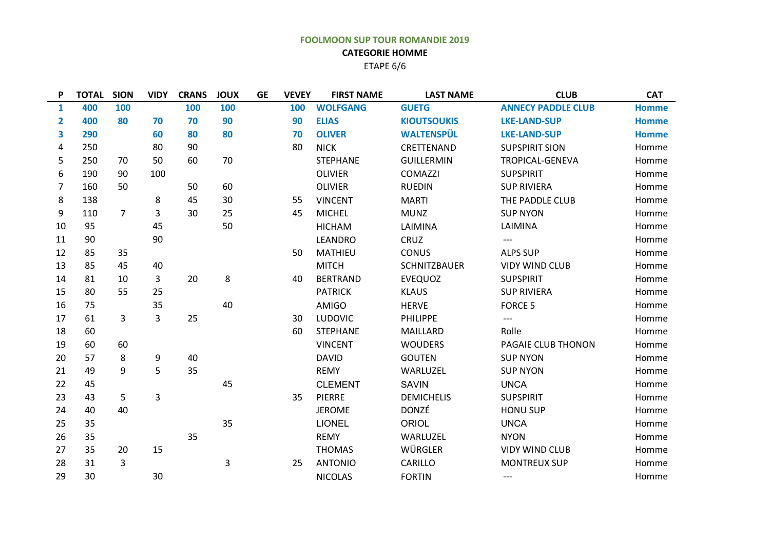## **FOOLMOON SUP TOUR ROMANDIE 2019 CATEGORIE HOMME**  ETAPE 6/6

| 400<br>400<br>290<br>250<br>250                                                                                      | 100<br>80      | 70<br>60<br>80 | 100<br>70<br>80 | 100<br>90 | 100<br>90 | <b>WOLFGANG</b> | <b>GUETG</b>        | <b>ANNECY PADDLE CLUB</b> | <b>Homme</b> |
|----------------------------------------------------------------------------------------------------------------------|----------------|----------------|-----------------|-----------|-----------|-----------------|---------------------|---------------------------|--------------|
|                                                                                                                      |                |                |                 |           |           |                 |                     |                           |              |
|                                                                                                                      |                |                |                 |           |           | <b>ELIAS</b>    | <b>KIOUTSOUKIS</b>  | <b>LKE-LAND-SUP</b>       | <b>Homme</b> |
|                                                                                                                      |                |                |                 | 80        | 70        | <b>OLIVER</b>   | <b>WALTENSPÜL</b>   | <b>LKE-LAND-SUP</b>       | <b>Homme</b> |
|                                                                                                                      |                |                | 90              |           | 80        | <b>NICK</b>     | CRETTENAND          | <b>SUPSPIRIT SION</b>     | Homme        |
|                                                                                                                      |                | 50             | 60              | 70        |           | <b>STEPHANE</b> | <b>GUILLERMIN</b>   | TROPICAL-GENEVA           | Homme        |
|                                                                                                                      | 90             | 100            |                 |           |           | <b>OLIVIER</b>  | COMAZZI             | <b>SUPSPIRIT</b>          | Homme        |
| 160                                                                                                                  | 50             |                | 50              | 60        |           | <b>OLIVIER</b>  | <b>RUEDIN</b>       | <b>SUP RIVIERA</b>        | Homme        |
| 138                                                                                                                  |                | 8              | 45              | 30        | 55        | <b>VINCENT</b>  | <b>MARTI</b>        | THE PADDLE CLUB           | Homme        |
| 110                                                                                                                  | $\overline{7}$ | 3              | 30              | 25        | 45        | <b>MICHEL</b>   | <b>MUNZ</b>         | <b>SUP NYON</b>           | Homme        |
| 95                                                                                                                   |                | 45             |                 | 50        |           | <b>HICHAM</b>   | LAIMINA             | LAIMINA                   | Homme        |
| 90                                                                                                                   |                | 90             |                 |           |           | <b>LEANDRO</b>  | CRUZ                | ---                       | Homme        |
| 85                                                                                                                   | 35             |                |                 |           | 50        | MATHIEU         | <b>CONUS</b>        | <b>ALPS SUP</b>           | Homme        |
| 85                                                                                                                   | 45             | 40             |                 |           |           | <b>MITCH</b>    | <b>SCHNITZBAUER</b> | <b>VIDY WIND CLUB</b>     | Homme        |
| 81                                                                                                                   | 10             | 3              | 20              | 8         | 40        | <b>BERTRAND</b> | <b>EVEQUOZ</b>      | <b>SUPSPIRIT</b>          | Homme        |
| 80                                                                                                                   | 55             | 25             |                 |           |           | <b>PATRICK</b>  | <b>KLAUS</b>        | <b>SUP RIVIERA</b>        | Homme        |
| 75                                                                                                                   |                | 35             |                 | 40        |           | <b>AMIGO</b>    | <b>HERVE</b>        | <b>FORCE 5</b>            | Homme        |
| 61                                                                                                                   | 3              | 3              | 25              |           | 30        | <b>LUDOVIC</b>  | <b>PHILIPPE</b>     | $---$                     | Homme        |
| 60                                                                                                                   |                |                |                 |           | 60        | <b>STEPHANE</b> | MAILLARD            | Rolle                     | Homme        |
| 60                                                                                                                   | 60             |                |                 |           |           | <b>VINCENT</b>  | <b>WOUDERS</b>      | PAGAIE CLUB THONON        | Homme        |
| 57                                                                                                                   | 8              | 9              | 40              |           |           | <b>DAVID</b>    | <b>GOUTEN</b>       | <b>SUP NYON</b>           | Homme        |
| 49                                                                                                                   | 9              | 5              | 35              |           |           | <b>REMY</b>     | WARLUZEL            | <b>SUP NYON</b>           | Homme        |
| 45                                                                                                                   |                |                |                 | 45        |           | <b>CLEMENT</b>  | <b>SAVIN</b>        | <b>UNCA</b>               | Homme        |
| 43                                                                                                                   | 5              | 3              |                 |           | 35        | <b>PIERRE</b>   | <b>DEMICHELIS</b>   | <b>SUPSPIRIT</b>          | Homme        |
| 40                                                                                                                   | 40             |                |                 |           |           | <b>JEROME</b>   | <b>DONZÉ</b>        | <b>HONU SUP</b>           | Homme        |
| 35                                                                                                                   |                |                |                 | 35        |           | <b>LIONEL</b>   | <b>ORIOL</b>        | <b>UNCA</b>               | Homme        |
| 35                                                                                                                   |                |                | 35              |           |           | <b>REMY</b>     | WARLUZEL            | <b>NYON</b>               | Homme        |
| 35                                                                                                                   | 20             | 15             |                 |           |           | <b>THOMAS</b>   | WÜRGLER             | <b>VIDY WIND CLUB</b>     | Homme        |
| 31                                                                                                                   | 3              |                |                 | 3         | 25        | <b>ANTONIO</b>  | CARILLO             | <b>MONTREUX SUP</b>       | Homme        |
| 30                                                                                                                   |                | 30             |                 |           |           | <b>NICOLAS</b>  | <b>FORTIN</b>       | $---$                     | Homme        |
| 10<br>11<br>12<br>13<br>14<br>15<br>16<br>17<br>18<br>19<br>20<br>21<br>22<br>23<br>24<br>25<br>26<br>27<br>28<br>29 | 190            | 70             |                 |           |           |                 |                     |                           |              |